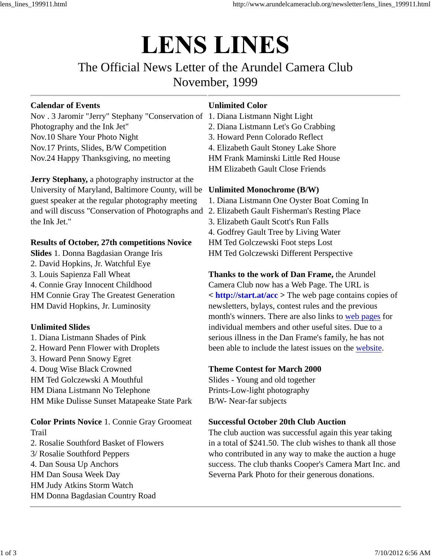# **LENS LINES**

## The Official News Letter of the Arundel Camera Club November, 1999

### **Calendar of Events**

Nov . 3 Jaromir "Jerry" Stephany "Conservation of 1. Diana Listmann Night Light Photography and the Ink Jet" Nov.10 Share Your Photo Night Nov.17 Prints, Slides, B/W Competition Nov.24 Happy Thanksgiving, no meeting

**Jerry Stephany,** a photography instructor at the University of Maryland, Baltimore County, will be **Unlimited Monochrome (B/W)** guest speaker at the regular photography meeting and will discuss "Conservation of Photographs and 2. Elizabeth Gault Fisherman's Resting Place the Ink Jet."

### **Results of October, 27th competitions Novice**

**Slides** 1. Donna Bagdasian Orange Iris 2. David Hopkins, Jr. Watchful Eye 3. Louis Sapienza Fall Wheat 4. Connie Gray Innocent Childhood HM Connie Gray The Greatest Generation HM David Hopkins, Jr. Luminosity

### **Unlimited Slides**

1. Diana Listmann Shades of Pink 2. Howard Penn Flower with Droplets 3. H*o*ward Penn Snowy Egret 4. Doug Wise Black Crowned HM Ted Golczewski A Mouthful HM Diana Listmann No Telephone HM Mike Dulisse Sunset Matapeake State Park

**Color Prints Novice** 1. Connie Gray Groomeat Trail 2. Rosalie Southford Basket of Flowers

3/ Rosalie Southford Peppers 4. Dan Sousa Up Anchors HM Dan Sousa Week Day HM Judy Atkins Storm Watch HM Donna Bagdasian Country Road

### **Unlimited Color**

- 
- 2. Diana Listmann Let's Go Crabbing
- 3. Howard Penn Colorado Reflect
- 4. Elizabeth Gault Stoney Lake Shore

HM Frank Maminski Little Red House

HM Elizabeth Gault Close Friends

1. Diana Listmann One Oyster Boat Coming In

- 
- 3. Elizabeth Gault Scott's Run Falls

4. Godfrey Gault Tree by Living Water

HM Ted Golczewski Foot steps Lost

HM Ted Golczewski Different Perspective

**Thanks to the work of Dan Frame,** the Arundel Camera Club now has a Web Page. The URL is **< http://start.at/acc >** The web page contains copies of newsletters, bylays, contest rules and the previous month's winners. There are also links to web pages for individual members and other useful sites. Due to a serious illness in the Dan Frame's family, he has not been able to include the latest issues on the website.

### **Theme Contest for March 2000**

Slides - Young and old together Prints-Low-light photography B/W- Near-far subjects

### **Successful October 20th Club Auction**

The club auction was successful again this year taking in a total of \$241.50. The club wishes to thank all those who contributed in any way to make the auction a huge success. The club thanks Cooper's Camera Mart Inc. and Severna Park Photo for their generous donations.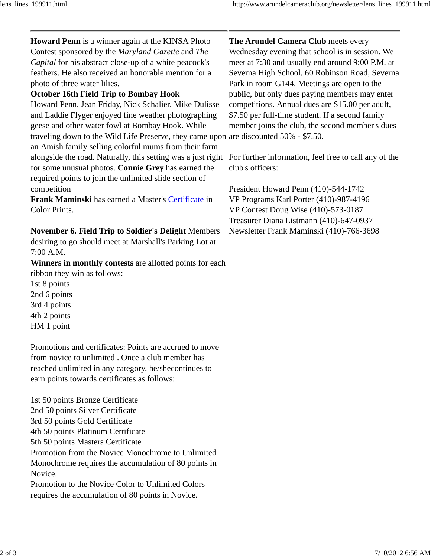**Howard Penn** is a winner again at the KINSA Photo Contest sponsored by the *Maryland Gazette* and *The Capital* for his abstract close-up of a white peacock's feathers. He also received an honorable mention for a photo of three water lilies.

### **October 16th Field Trip to Bombay Hook**

Howard Penn, Jean Friday, Nick Schalier, Mike Dulisse and Laddie Flyger enjoyed fine weather photographing geese and other water fowl at Bombay Hook. While traveling down to the Wild Life Preserve, they came upon are discounted 50% - \$7.50. an Amish family selling colorful mums from their farm alongside the road. Naturally, this setting was a just right For further information, feel free to call any of the for some unusual photos. **Connie Grey** has earned the required points to join the unlimited slide section of competition

**Frank Maminski** has earned a Master's Certificate in Color Prints.

### **November 6. Field Trip to Soldier's Delight** Members

desiring to go should meet at Marshall's Parking Lot at 7:00 A.M.

**Winners in monthly contests** are allotted points for each ribbon they win as follows: 1st 8 points 2nd 6 points

3rd 4 points 4th 2 points

HM 1 point

Promotions and certificates: Points are accrued to move from novice to unlimited . Once a club member has reached unlimited in any category, he/shecontinues to earn points towards certificates as follows:

1st 50 points Bronze Certificate 2nd 50 points Silver Certificate 3rd 50 points Gold Certificate 4th 50 points Platinum Certificate 5th 50 points Masters Certificate Promotion from the Novice Monochrome to Unlimited Monochrome requires the accumulation of 80 points in Novice. Promotion to the Novice Color to Unlimited Colors requires the accumulation of 80 points in Novice.

**The Arundel Camera Club** meets every

Wednesday evening that school is in session. We meet at 7:30 and usually end around 9:00 P.M. at Severna High School, 60 Robinson Road, Severna Park in room G144. Meetings are open to the public, but only dues paying members may enter competitions. Annual dues are \$15.00 per adult, \$7.50 per full-time student. If a second family member joins the club, the second member's dues

club's officers:

President Howard Penn (410)-544-1742 VP Programs Karl Porter (410)-987-4196 VP Contest Doug Wise (410)-573-0187 Treasurer Diana Listmann (410)-647-0937 Newsletter Frank Maminski (410)-766-3698